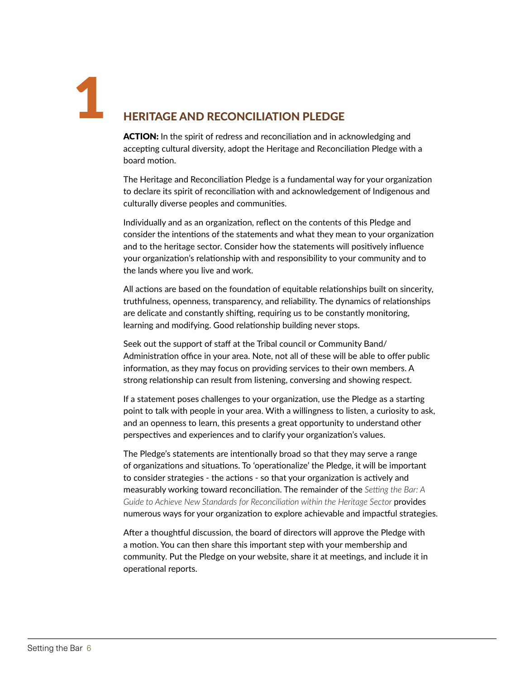1

## HERITAGE AND RECONCILIATION PLEDGE

ACTION: In the spirit of redress and reconciliation and in acknowledging and accepting cultural diversity, adopt the Heritage and Reconciliation Pledge with a board motion.

The Heritage and Reconciliation Pledge is a fundamental way for your organization to declare its spirit of reconciliation with and acknowledgement of Indigenous and culturally diverse peoples and communities.

Individually and as an organization, reflect on the contents of this Pledge and consider the intentions of the statements and what they mean to your organization and to the heritage sector. Consider how the statements will positively influence your organization's relationship with and responsibility to your community and to the lands where you live and work.

All actions are based on the foundation of equitable relationships built on sincerity, truthfulness, openness, transparency, and reliability. The dynamics of relationships are delicate and constantly shifting, requiring us to be constantly monitoring, learning and modifying. Good relationship building never stops.

Seek out the support of staff at the Tribal council or Community Band/ Administration office in your area. Note, not all of these will be able to offer public information, as they may focus on providing services to their own members. A strong relationship can result from listening, conversing and showing respect.

If a statement poses challenges to your organization, use the Pledge as a starting point to talk with people in your area. With a willingness to listen, a curiosity to ask, and an openness to learn, this presents a great opportunity to understand other perspectives and experiences and to clarify your organization's values.

The Pledge's statements are intentionally broad so that they may serve a range of organizations and situations. To 'operationalize' the Pledge, it will be important to consider strategies - the actions - so that your organization is actively and measurably working toward reconciliation. The remainder of the *Setting the Bar: A*  Guide to Achieve New Standards for Reconciliation within the Heritage Sector **provides** numerous ways for your organization to explore achievable and impactful strategies.

After a thoughtful discussion, the board of directors will approve the Pledge with a motion. You can then share this important step with your membership and community. Put the Pledge on your website, share it at meetings, and include it in operational reports.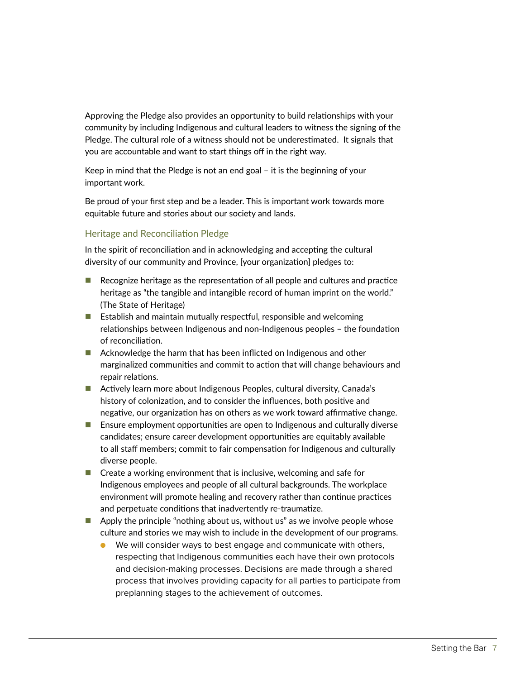Approving the Pledge also provides an opportunity to build relationships with your community by including Indigenous and cultural leaders to witness the signing of the Pledge. The cultural role of a witness should not be underestimated. It signals that you are accountable and want to start things off in the right way.

Keep in mind that the Pledge is not an end goal – it is the beginning of your important work.

Be proud of your first step and be a leader. This is important work towards more equitable future and stories about our society and lands.

## Heritage and Reconciliation Pledge

In the spirit of reconciliation and in acknowledging and accepting the cultural diversity of our community and Province, [your organization] pledges to:

- $\blacksquare$  Recognize heritage as the representation of all people and cultures and practice heritage as "the tangible and intangible record of human imprint on the world." (The State of Heritage)
- $\blacksquare$  Establish and maintain mutually respectful, responsible and welcoming relationships between Indigenous and non-Indigenous peoples – the foundation of reconciliation.
- Acknowledge the harm that has been inflicted on Indigenous and other marginalized communities and commit to action that will change behaviours and repair relations.
- Actively learn more about Indigenous Peoples, cultural diversity, Canada's history of colonization, and to consider the influences, both positive and negative, our organization has on others as we work toward affirmative change.
- **E** Ensure employment opportunities are open to Indigenous and culturally diverse candidates; ensure career development opportunities are equitably available to all staff members; commit to fair compensation for Indigenous and culturally diverse people.
- $\blacksquare$  Create a working environment that is inclusive, welcoming and safe for Indigenous employees and people of all cultural backgrounds. The workplace environment will promote healing and recovery rather than continue practices and perpetuate conditions that inadvertently re-traumatize.
- $\blacksquare$  Apply the principle "nothing about us, without us" as we involve people whose culture and stories we may wish to include in the development of our programs.
	- We will consider ways to best engage and communicate with others, respecting that Indigenous communities each have their own protocols and decision-making processes. Decisions are made through a shared process that involves providing capacity for all parties to participate from preplanning stages to the achievement of outcomes.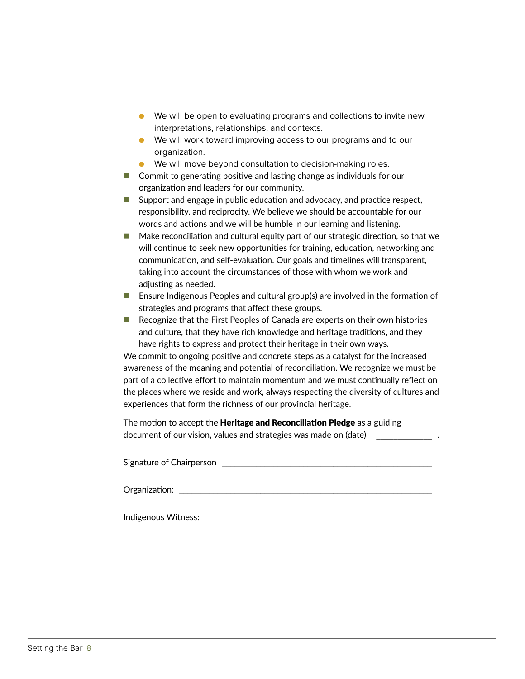- We will be open to evaluating programs and collections to invite new interpretations, relationships, and contexts.
- We will work toward improving access to our programs and to our organization.
- We will move beyond consultation to decision-making roles.
- **Commit to generating positive and lasting change as individuals for our** organization and leaders for our community.
- Support and engage in public education and advocacy, and practice respect, responsibility, and reciprocity. We believe we should be accountable for our words and actions and we will be humble in our learning and listening.
- Make reconciliation and cultural equity part of our strategic direction, so that we will continue to seek new opportunities for training, education, networking and communication, and self-evaluation. Our goals and timelines will transparent, taking into account the circumstances of those with whom we work and adjusting as needed.
- **E** Ensure Indigenous Peoples and cultural group(s) are involved in the formation of strategies and programs that affect these groups.
- Recognize that the First Peoples of Canada are experts on their own histories and culture, that they have rich knowledge and heritage traditions, and they have rights to express and protect their heritage in their own ways.

We commit to ongoing positive and concrete steps as a catalyst for the increased awareness of the meaning and potential of reconciliation. We recognize we must be part of a collective effort to maintain momentum and we must continually reflect on the places where we reside and work, always respecting the diversity of cultures and experiences that form the richness of our provincial heritage.

The motion to accept the **Heritage and Reconciliation Pledge** as a guiding document of our vision, values and strategies was made on (date) \_\_\_\_\_\_\_\_\_\_\_\_\_ .

| Signature of Chairperson |  |  |  |
|--------------------------|--|--|--|
| Organization:            |  |  |  |
| Indigenous Witness:      |  |  |  |